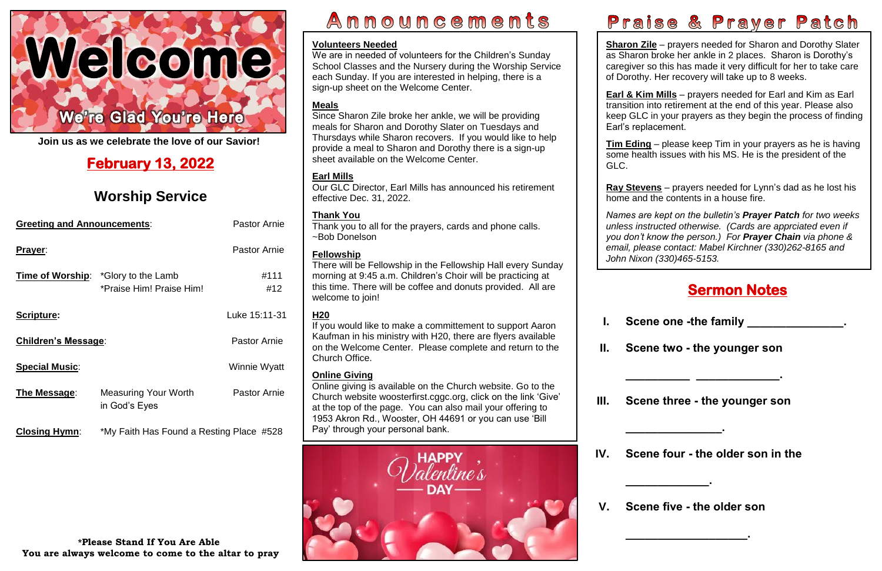

**Join us as we celebrate the love of our Savior!**

| <b>Greeting and Announcements:</b> |                                                                 | <b>Pastor Arnie</b> |
|------------------------------------|-----------------------------------------------------------------|---------------------|
| Prayer:                            |                                                                 | <b>Pastor Arnie</b> |
|                                    | Time of Worship: *Glory to the Lamb<br>*Praise Him! Praise Him! | #111<br>#12         |
| <b>Scripture:</b>                  |                                                                 | Luke 15:11-31       |
| Children's Message:                |                                                                 | <b>Pastor Arnie</b> |
| <b>Special Music:</b>              |                                                                 | Winnie Wyatt        |
| The Message:                       | <b>Measuring Your Worth</b><br>in God's Eyes                    | <b>Pastor Arnie</b> |
| <b>Closing Hymn:</b>               | *My Faith Has Found a Resting Place #528                        |                     |

## **February 13, 2022**

## **Worship Service**

### **\*Please Stand If You Are Able You are always welcome to come to the altar to pray**

# Announcements

### **Sermon Notes**

I

**II. Scene two - the younger son** 

**\_\_\_\_\_\_\_\_\_\_ \_\_\_\_\_\_\_\_\_\_\_\_\_.**



**III. Scene three - the younger son** 

**\_\_\_\_\_\_\_\_\_\_\_\_\_\_\_.**

**IV. Scene four - the older son in the** 

**\_\_\_\_\_\_\_\_\_\_\_\_\_.**

**V. Scene five - the older son** 

**\_\_\_\_\_\_\_\_\_\_\_\_\_\_\_\_\_\_\_.**

**Sharon Zile** – prayers needed for Sharon and Dorothy Slater as Sharon broke her ankle in 2 places. Sharon is Dorothy's caregiver so this has made it very difficult for her to take care of Dorothy. Her recovery will take up to 8 weeks.

 **Tim Eding** – please keep Tim in your prayers as he is having some health issues with his MS. He is the president of the

 home and the contents in a house fire. **Ray Stevens** – prayers needed for Lynn's dad as he lost his

**I.** Scene one -the family **and all in the set of the set of the set of the set of the set of the set of the set of the set of the set of the set of the set of the set of the set of the set of the set of the set of the set** 

 *email, please contact: Mabel Kirchner (330)262-8165 and Names are kept on the bulletin's Prayer Patch for two weeks unless instructed otherwise. (Cards are apprciated even if you don't know the person.) For Prayer Chain via phone & John Nixon (330)465-5153.*

**Earl & Kim Mills** – prayers needed for Earl and Kim as Earl transition into retirement at the end of this year. Please also keep GLC in your prayers as they begin the process of finding Earl's replacement.

# GLC.

### **Volunteers Needed**

 at the top of the page. You can also mail your offering to Online giving is available on the Church website. Go to the Church website [woosterfirst.cggc.org,](http://woosterfirst.cggc.org/) click on the link 'Give' 1953 Akron Rd., Wooster, OH 44691 or you can use 'Bill Pay' through your personal bank.



We are in needed of volunteers for the Children's Sunday School Classes and the Nursery during the Worship Service each Sunday. If you are interested in helping, there is a sign-up sheet on the Welcome Center.

### **Meals**

Since Sharon Zile broke her ankle, we will be providing meals for Sharon and Dorothy Slater on Tuesdays and Thursdays while Sharon recovers. If you would like to help provide a meal to Sharon and Dorothy there is a sign-up sheet available on the Welcome Center.

### **Earl Mills**

Our GLC Director, Earl Mills has announced his retirement effective Dec. 31, 2022.

### **Thank You**

Thank you to all for the prayers, cards and phone calls. ~Bob Donelson

### **Fellowship**

There will be Fellowship in the Fellowship Hall every Sunday morning at 9:45 a.m. Children's Choir will be practicing at this time. There will be coffee and donuts provided. All are welcome to join!

### **H20**

If you would like to make a committement to support Aaron Kaufman in his ministry with H20, there are flyers available on the Welcome Center. Please complete and return to the Church Office.

### **Online Giving**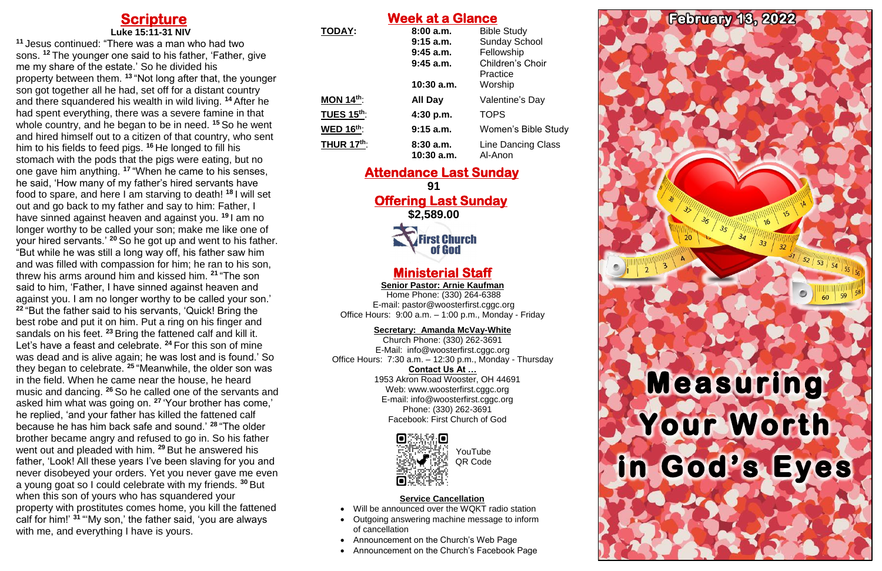### **Scripture Luke 15:11-31 NIV**

**<sup>11</sup>** Jesus continued: "There was a man who had two sons. **<sup>12</sup>** The younger one said to his father, 'Father, give me my share of the estate.' So he divided his property between them. **<sup>13</sup>** "Not long after that, the younger son got together all he had, set off for a distant country and there squandered his wealth in wild living. **<sup>14</sup>** After he had spent everything, there was a severe famine in that whole country, and he began to be in need. **<sup>15</sup>** So he went and hired himself out to a citizen of that country, who sent him to his fields to feed pigs. **<sup>16</sup>** He longed to fill his stomach with the pods that the pigs were eating, but no one gave him anything. **<sup>17</sup>** "When he came to his senses, he said, 'How many of my father's hired servants have food to spare, and here I am starving to death! **<sup>18</sup>** I will set out and go back to my father and say to him: Father, I have sinned against heaven and against you. **<sup>19</sup>** I am no longer worthy to be called your son; make me like one of your hired servants.' **<sup>20</sup>** So he got up and went to his father. "But while he was still a long way off, his father saw him and was filled with compassion for him; he ran to his son, threw his arms around him and kissed him. **<sup>21</sup>** "The son said to him, 'Father, I have sinned against heaven and against you. I am no longer worthy to be called your son.' **<sup>22</sup>** "But the father said to his servants, 'Quick! Bring the best robe and put it on him. Put a ring on his finger and sandals on his feet. **<sup>23</sup>** Bring the fattened calf and kill it. Let's have a feast and celebrate. **<sup>24</sup>** For this son of mine was dead and is alive again; he was lost and is found.' So they began to celebrate. **<sup>25</sup>** "Meanwhile, the older son was in the field. When he came near the house, he heard music and dancing. **<sup>26</sup>** So he called one of the servants and asked him what was going on. **<sup>27</sup>** 'Your brother has come,' he replied, 'and your father has killed the fattened calf because he has him back safe and sound.' **<sup>28</sup>** "The older brother became angry and refused to go in. So his father went out and pleaded with him. **<sup>29</sup>** But he answered his father, 'Look! All these years I've been slaving for you and never disobeyed your orders. Yet you never gave me even a young goat so I could celebrate with my friends. **<sup>30</sup>** But when this son of yours who has squandered your property with prostitutes comes home, you kill the fattened calf for him!' **<sup>31</sup>** "'My son,' the father said, 'you are always with me, and everything I have is yours.

Web: [www.woosterfirst.cggc.org](http://www.woosterfirst.cggc.org/) E-mail: info@woosterfirst.cggc.org Phone: (330) 262-3691 Facebook: First Church of God



| <b>Week at a Glance</b> |                          |                                      |
|-------------------------|--------------------------|--------------------------------------|
| <b>TODAY:</b>           | 8:00a.m.                 | <b>Bible Study</b>                   |
|                         | 9:15 a.m.                | <b>Sunday School</b>                 |
|                         | $9:45$ a.m.              | Fellowship                           |
|                         | $9:45$ a.m.              | Children's Choir<br>Practice         |
|                         | $10:30$ a.m.             | Worship                              |
| MON $14th$ :            | All Day                  | Valentine's Day                      |
| <b>TUES 15th:</b>       | 4:30 p.m.                | <b>TOPS</b>                          |
| <b>WED 16th:</b>        | $9:15$ a.m.              | Women's Bible Study                  |
| <b>THUR 17th:</b>       | 8:30a.m.<br>$10:30$ a.m. | <b>Line Dancing Class</b><br>Al-Anon |

### **Attendance Last Sunday**

**91 Offering Last Sunday** 

**\$2,589.00**

# **First Church<br>Cof God**

### **Ministerial Staff**

**Senior Pastor: Arnie Kaufman**

Home Phone: (330) 264-6388 E-mail: [pastor@woosterfirst.cggc.org](mailto:pastor@woosterfirst.cggc.org) Office Hours: 9:00 a.m. – 1:00 p.m., Monday - Friday

**Secretary: Amanda McVay-White**

Church Phone: (330) 262-3691 E-Mail: info@woosterfirst.cggc.org Office Hours: 7:30 a.m. – 12:30 p.m., Monday - Thursday **Contact Us At …** 1953 Akron Road Wooster, OH 44691

### **Service Cancellation**

- Will be announced over the WQKT radio station
- Outgoing answering machine message to inform of cancellation
- Announcement on the Church's Web Page
- Announcement on the Church's Facebook Page



YouTube QR Code